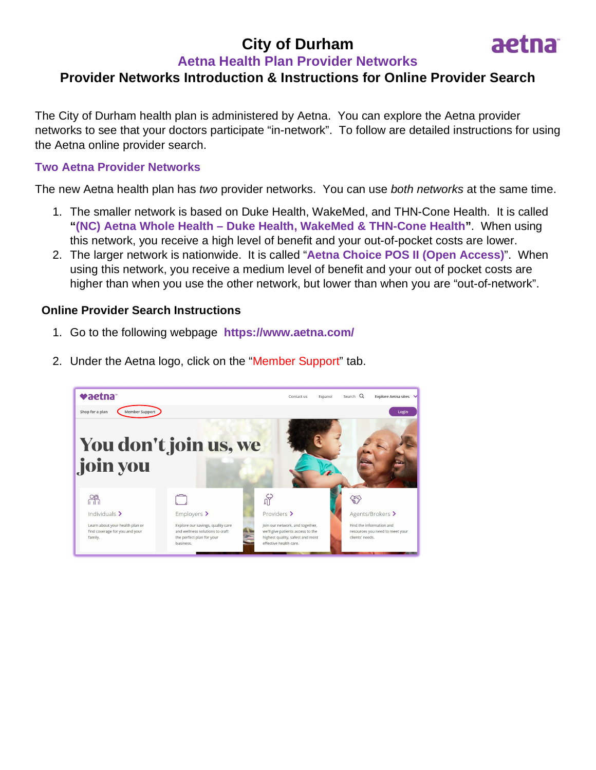# **City of Durham**



## **Aetna Health Plan Provider Networks**

## **Provider Networks Introduction & Instructions for Online Provider Search**

The City of Durham health plan is administered by Aetna. You can explore the Aetna provider networks to see that your doctors participate "in-network". To follow are detailed instructions for using the Aetna online provider search.

### **Two Aetna Provider Networks**

The new Aetna health plan has *two* provider networks. You can use *both networks* at the same time.

- 1. The smaller network is based on Duke Health, WakeMed, and THN-Cone Health. It is called **"(NC) Aetna Whole Health – Duke Health, WakeMed & THN-Cone Health"**. When using this network, you receive a high level of benefit and your out-of-pocket costs are lower.
- 2. The larger network is nationwide. It is called "**Aetna Choice POS II (Open Access)**". When using this network, you receive a medium level of benefit and your out of pocket costs are higher than when you use the other network, but lower than when you are "out-of-network".

### **Online Provider Search Instructions**

1. Go to the following webpage **https://www.aetna.com/**



2. Under the Aetna logo, click on the "Member Support" tab.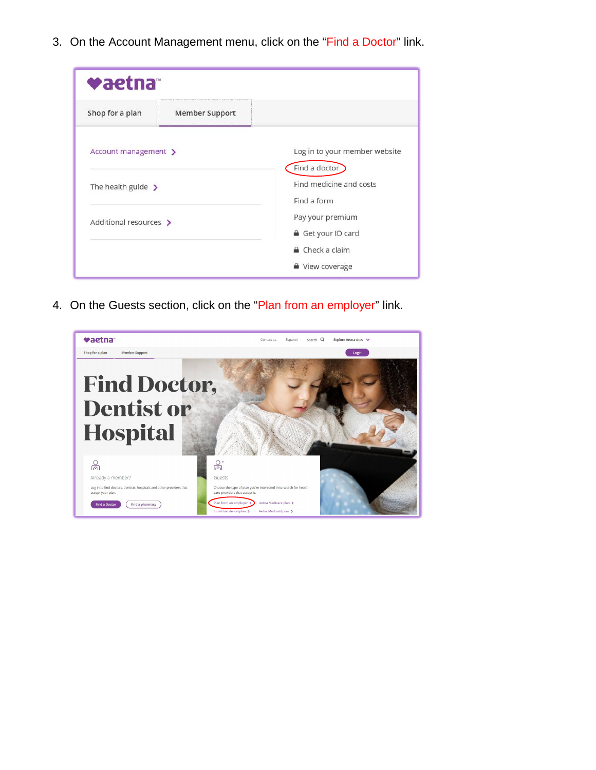3. On the Account Management menu, click on the "Find a Doctor" link.

| vaetna                  |                       |                                                |
|-------------------------|-----------------------|------------------------------------------------|
| Shop for a plan         | <b>Member Support</b> |                                                |
| Account management >    |                       | Log in to your member website<br>Find a doctor |
| The health guide $\sum$ |                       | Find medicine and costs<br>Find a form         |
| Additional resources >  |                       | Pay your premium<br>Get your ID card           |
|                         |                       | Check a claim<br>■ View coverage               |

4. On the Guests section, click on the "Plan from an employer" link.

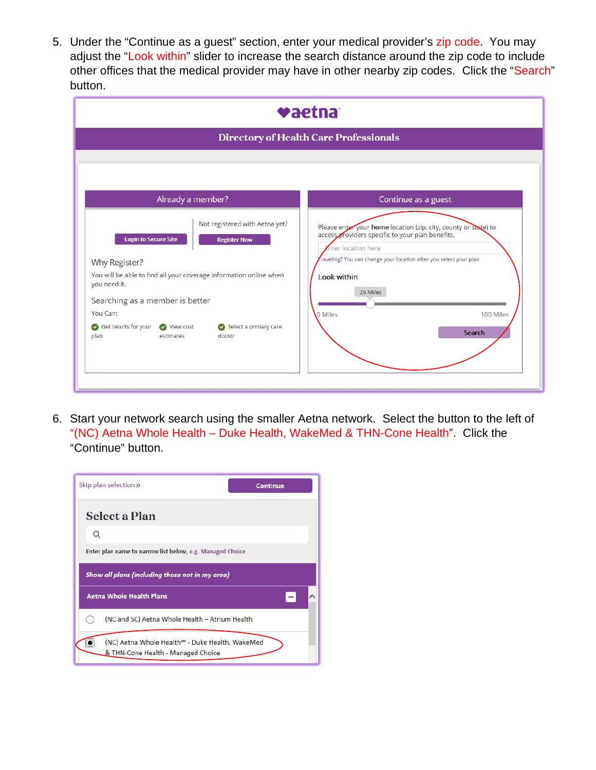5. Under the "Continue as a guest" section, enter your medical provider's zip code. You may adjust the "Look within" slider to increase the search distance around the zip code to include other offices that the medical provider may have in other nearby zip codes. Click the "Search" button.

| vaetna                                                                                                                                                                                                                                                                                                                                  |                                                                                                                                                                                                                                                                                            |  |  |  |
|-----------------------------------------------------------------------------------------------------------------------------------------------------------------------------------------------------------------------------------------------------------------------------------------------------------------------------------------|--------------------------------------------------------------------------------------------------------------------------------------------------------------------------------------------------------------------------------------------------------------------------------------------|--|--|--|
| <b>Directory of Health Care Professionals</b>                                                                                                                                                                                                                                                                                           |                                                                                                                                                                                                                                                                                            |  |  |  |
|                                                                                                                                                                                                                                                                                                                                         |                                                                                                                                                                                                                                                                                            |  |  |  |
| Already a member?                                                                                                                                                                                                                                                                                                                       | Continue as a guest                                                                                                                                                                                                                                                                        |  |  |  |
| Not registered with Aetna yet?<br><b>Login to Secure Site</b><br><b>Register Now</b><br>Why Register?<br>You will be able to find all your coverage information online when<br>you need it.<br>Searching as a member is better<br>You Can:<br>Get results for your<br>View cost<br>Select a primary care<br>plan<br>estimates<br>doctor | Please enter your home location (zip, city, county or state) to<br>access providers specific to your plan benefits.<br><b>Znter location here</b><br>raveling? You can change your location after you select your plan<br><b>Look within</b><br>25 Miles<br>0 Miles<br>100 Miles<br>Search |  |  |  |

6. Start your network search using the smaller Aetna network. Select the button to the left of "(NC) Aetna Whole Health – Duke Health, WakeMed & THN-Cone Health". Click the "Continue" button.

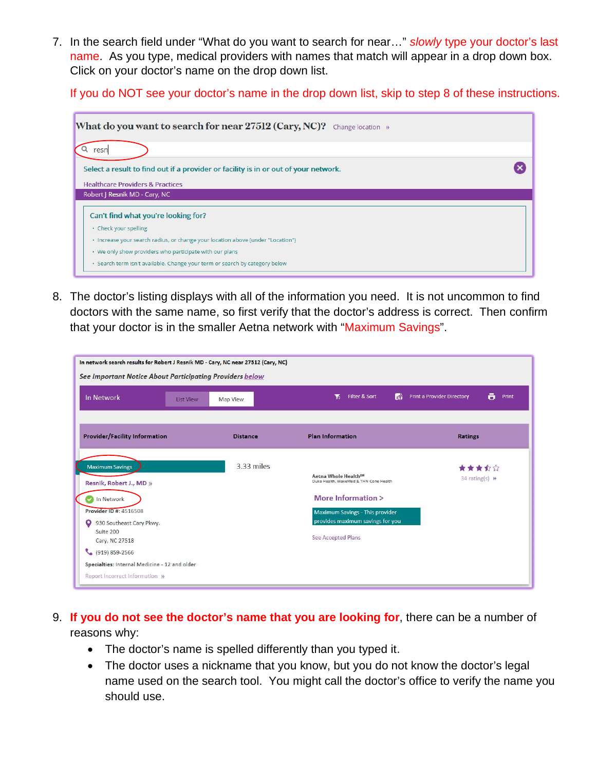7. In the search field under "What do you want to search for near…" *slowly* type your doctor's last name. As you type, medical providers with names that match will appear in a drop down box. Click on your doctor's name on the drop down list.

If you do NOT see your doctor's name in the drop down list, skip to step 8 of these instructions.

| What do you want to search for near 27512 (Cary, NC)?<br>Change location »                                                                              |  |
|---------------------------------------------------------------------------------------------------------------------------------------------------------|--|
| resn                                                                                                                                                    |  |
| Select a result to find out if a provider or facility is in or out of your network.                                                                     |  |
| <b>Healthcare Providers &amp; Practices</b>                                                                                                             |  |
|                                                                                                                                                         |  |
|                                                                                                                                                         |  |
|                                                                                                                                                         |  |
| · Check your spelling                                                                                                                                   |  |
| Robert J Resnik MD - Cary, NC<br>Can't find what you're looking for?<br>· Increase your search radius, or change your location above (under "Location") |  |
| • We only show providers who participate with our plans                                                                                                 |  |

8. The doctor's listing displays with all of the information you need. It is not uncommon to find doctors with the same name, so first verify that the doctor's address is correct. Then confirm that your doctor is in the smaller Aetna network with "Maximum Savings".

| <b>Provider/Facility Information</b>                                                                                                                             | <b>Distance</b> | <b>Plan Information</b>                                                                                                                                                                       | <b>Ratings</b>            |
|------------------------------------------------------------------------------------------------------------------------------------------------------------------|-----------------|-----------------------------------------------------------------------------------------------------------------------------------------------------------------------------------------------|---------------------------|
| <b>Maximum Savings</b><br>Resnik, Robert J., MD »<br>In Network<br><b>Provider ID #: 4516508</b><br>O<br>930 Southeast Cary Pkwy.<br>Suite 200<br>Cary, NC 27518 | 3.33 miles      | Aetna Whole Health <sup>SM</sup><br>Duke Health, WakeMed & THN-Cone Health<br>More Information ><br>Maximum Savings - This provider<br>provides maximum savings for you<br>See Accepted Plans | 音音音公文<br>$34$ rating(s) » |

- 9. **If you do not see the doctor's name that you are looking for**, there can be a number of reasons why:
	- The doctor's name is spelled differently than you typed it.
	- The doctor uses a nickname that you know, but you do not know the doctor's legal name used on the search tool. You might call the doctor's office to verify the name you should use.